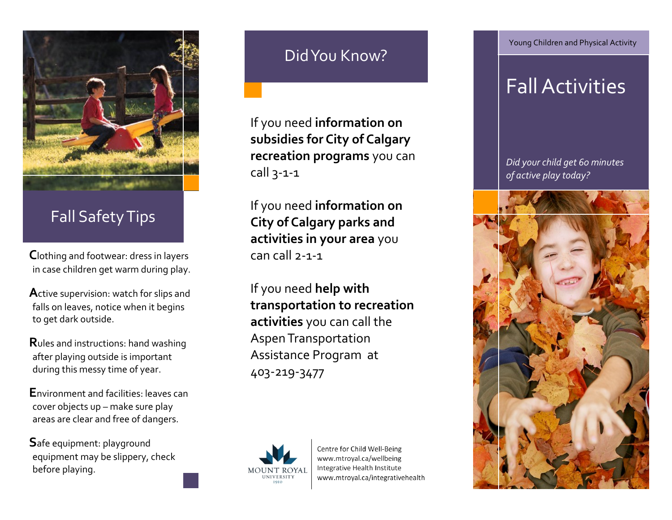

## Fall Safety Tips

**C**lothing and footwear: dress in layers in case children get warm during play.

**A**ctive supervision: watch for slips and falls on leaves, notice when it begins to get dark outside.

**R**ules and instructions: hand washing after playing outside is important during this messy time of year.

**E**nvironment and facilities: leaves can cover objects up – make sure play areas are clear and free of dangers.

**S**afe equipment: playground equipment may be slippery, check before playing.

## Did You Know?

If you need **information on subsidies for City of Calgary recreation programs** you can call 3-1-1

If you need **information on City of Calgary parks and activities in your area** you  $can$  call  $2-1-1$ 

If you need **help with transportation to recreation activities** you can call the Aspen Transportation Assistance Program at 403-219-3477



Centre for Child Well-Being www.mtroyal.ca/wellbeing Integrative Health Institute www.mtroyal.ca/integrativehealth Young Children and Physical Activity

# Fall Activities

*Did your child get 60 minutes of active play today?*